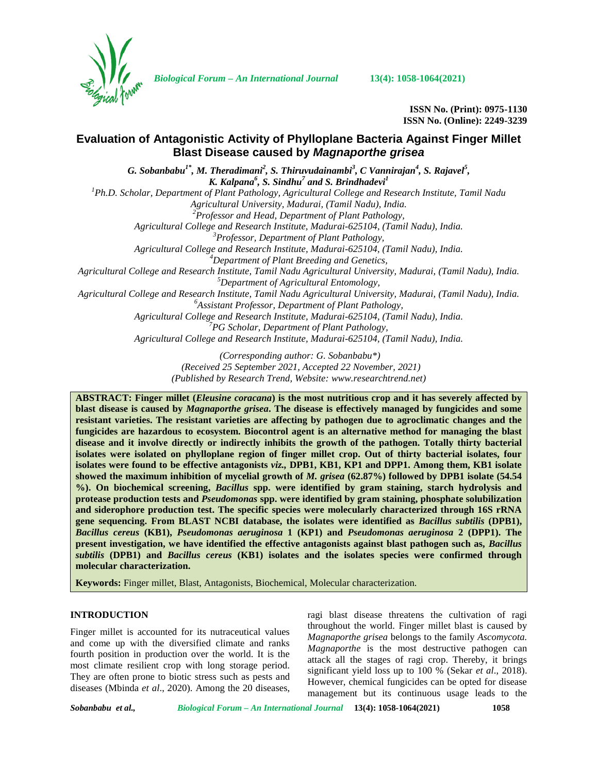

*Biological Forum – An International Journal* **13(4): 1058-1064(2021)**

**ISSN No. (Print): 0975-1130 ISSN No. (Online): 2249-3239**

# **Evaluation of Antagonistic Activity of Phylloplane Bacteria Against Finger Millet Blast Disease caused by** *Magnaporthe grisea*

*G. Sobanbabu1\*, M. Theradimani<sup>2</sup> , S. Thiruvudainambi<sup>3</sup> , C Vannirajan<sup>4</sup> , S. Rajavel<sup>5</sup> , K. Kalpana<sup>6</sup> , S. Sindhu<sup>7</sup> and S. Brindhadevi<sup>1</sup> <sup>1</sup>Ph.D. Scholar, Department of Plant Pathology, Agricultural College and Research Institute, Tamil Nadu Agricultural University, Madurai, (Tamil Nadu), India. <sup>2</sup>Professor and Head, Department of Plant Pathology, Agricultural College and Research Institute, Madurai-625104, (Tamil Nadu), India. <sup>3</sup>Professor, Department of Plant Pathology, Agricultural College and Research Institute, Madurai-625104, (Tamil Nadu), India. <sup>4</sup>Department of Plant Breeding and Genetics, Agricultural College and Research Institute, Tamil Nadu Agricultural University, Madurai, (Tamil Nadu), India. <sup>5</sup>Department of Agricultural Entomology, Agricultural College and Research Institute, Tamil Nadu Agricultural University, Madurai, (Tamil Nadu), India. <sup>6</sup>Assistant Professor, Department of Plant Pathology, Agricultural College and Research Institute, Madurai-625104, (Tamil Nadu), India. <sup>7</sup>PG Scholar, Department of Plant Pathology, Agricultural College and Research Institute, Madurai-625104, (Tamil Nadu), India.*

> *(Corresponding author: G. Sobanbabu\*) (Received 25 September 2021, Accepted 22 November, 2021) (Published by Research Trend, Website: [www.researchtrend.net\)](www.researchtrend.net)*

**ABSTRACT: Finger millet (***Eleusine coracana***) is the most nutritious crop and it has severely affected by blast disease is caused by** *Magnaporthe grisea***. The disease is effectively managed by fungicides and some resistant varieties. The resistant varieties are affecting by pathogen due to agroclimatic changes and the fungicides are hazardous to ecosystem. Biocontrol agent is an alternative method for managing the blast disease and it involve directly or indirectly inhibits the growth of the pathogen. Totally thirty bacterial isolates were isolated on phylloplane region of finger millet crop. Out of thirty bacterial isolates, four isolates were found to be effective antagonists** *viz.,* **DPB1, KB1, KP1 and DPP1. Among them, KB1 isolate showed the maximum inhibition of mycelial growth of** *M. grisea* **(62.87%) followed by DPB1 isolate (54.54 %). On biochemical screening,** *Bacillus* **spp. were identified by gram staining, starch hydrolysis and protease production tests and** *Pseudomonas* **spp. were identified by gram staining, phosphate solubilization and siderophore production test. The specific species were molecularly characterized through 16S rRNA gene sequencing. From BLAST NCBI database, the isolates were identified as** *Bacillus subtilis* **(DPB1),** *Bacillus cereus* **(KB1),** *Pseudomonas aeruginosa* **1 (KP1) and** *Pseudomonas aeruginosa* **2 (DPP1). The present investigation, we have identified the effective antagonists against blast pathogen such as,** *Bacillus subtilis* **(DPB1) and** *Bacillus cereus* **(KB1) isolates and the isolates species were confirmed through molecular characterization.**

**Keywords:** Finger millet, Blast, Antagonists, Biochemical, Molecular characterization.

# **INTRODUCTION**

Finger millet is accounted for its nutraceutical values and come up with the diversified climate and ranks fourth position in production over the world. It is the most climate resilient crop with long storage period. They are often prone to biotic stress such as pests and diseases (Mbinda *et al*., 2020). Among the 20 diseases, ragi blast disease threatens the cultivation of ragi throughout the world. Finger millet blast is caused by *Magnaporthe grisea* belongs to the family *Ascomycota. Magnaporthe* is the most destructive pathogen can attack all the stages of ragi crop. Thereby, it brings significant yield loss up to 100 % (Sekar *et al*., 2018). However, chemical fungicides can be opted for disease management but its continuous usage leads to the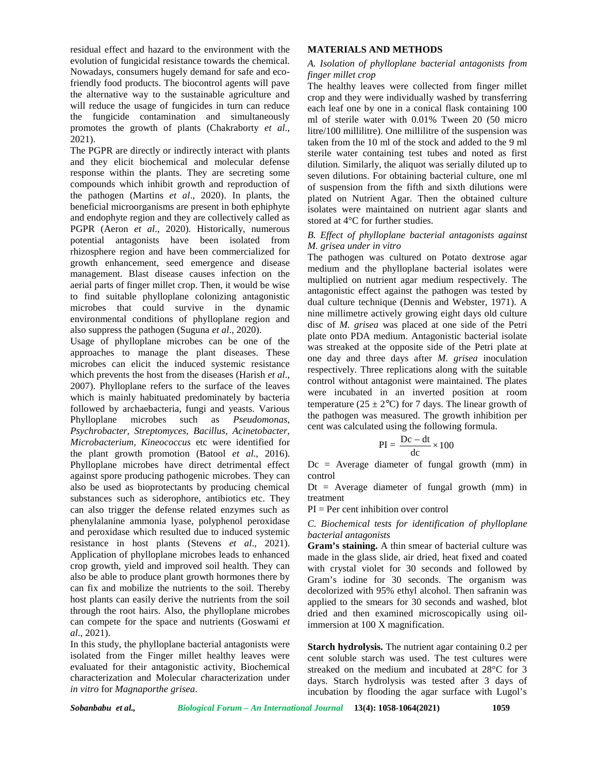residual effect and hazard to the environment with the evolution of fungicidal resistance towards the chemical. Nowadays, consumers hugely demand for safe and ecofriendly food products. The biocontrol agents will pave the alternative way to the sustainable agriculture and will reduce the usage of fungicides in turn can reduce the fungicide contamination and simultaneously promotes the growth of plants (Chakraborty *et al*., 2021).

The PGPR are directly or indirectly interact with plants and they elicit biochemical and molecular defense response within the plants. They are secreting some compounds which inhibit growth and reproduction of the pathogen (Martins *et al*., 2020). In plants, the beneficial microorganisms are present in both ephiphyte and endophyte region and they are collectively called as PGPR (Aeron *et al*., 2020). Historically, numerous potential antagonists have been isolated from rhizosphere region and have been commercialized for growth enhancement, seed emergence and disease management. Blast disease causes infection on the aerial parts of finger millet crop. Then, it would be wise to find suitable phylloplane colonizing antagonistic microbes that could survive in the dynamic environmental conditions of phylloplane region and also suppress the pathogen (Suguna *et al*., 2020).

Usage of phylloplane microbes can be one of the approaches to manage the plant diseases. These microbes can elicit the induced systemic resistance which prevents the host from the diseases (Harish *et al*., 2007). Phylloplane refers to the surface of the leaves which is mainly habituated predominately by bacteria followed by archaebacteria, fungi and yeasts. Various Phylloplane microbes such as *Pseudomonas, Psychrobacter, Streptomyces, Bacillus, Acinetobacter, Microbacterium, Kineococcus* etc were identified for the plant growth promotion (Batool *et al*., 2016). Phylloplane microbes have direct detrimental effect against spore producing pathogenic microbes. They can also be used as bioprotectants by producing chemical substances such as siderophore, antibiotics etc. They can also trigger the defense related enzymes such as phenylalanine ammonia lyase, polyphenol peroxidase and peroxidase which resulted due to induced systemic resistance in host plants (Stevens *et al*., 2021). Application of phylloplane microbes leads to enhanced crop growth, yield and improved soil health. They can also be able to produce plant growth hormones there by can fix and mobilize the nutrients to the soil. Thereby host plants can easily derive the nutrients from the soil through the root hairs. Also, the phylloplane microbes can compete for the space and nutrients (Goswami *et al*., 2021).

In this study, the phylloplane bacterial antagonists were isolated from the Finger millet healthy leaves were evaluated for their antagonistic activity, Biochemical characterization and Molecular characterization under *in vitro* for *Magnaporthe grisea*.

### **MATERIALS AND METHODS**

### *A. Isolation of phylloplane bacterial antagonists from finger millet crop*

The healthy leaves were collected from finger millet crop and they were individually washed by transferring each leaf one by one in a conical flask containing 100 ml of sterile water with 0.01% Tween 20 (50 micro litre/100 millilitre). One millilitre of the suspension was taken from the 10 ml of the stock and added to the 9 ml sterile water containing test tubes and noted as first dilution. Similarly, the aliquot was serially diluted up to seven dilutions. For obtaining bacterial culture, one ml of suspension from the fifth and sixth dilutions were plated on Nutrient Agar. Then the obtained culture isolates were maintained on nutrient agar slants and stored at 4°C for further studies.

# *B. Effect of phylloplane bacterial antagonists against M. grisea under in vitro*

The pathogen was cultured on Potato dextrose agar medium and the phylloplane bacterial isolates were multiplied on nutrient agar medium respectively. The antagonistic effect against the pathogen was tested by dual culture technique (Dennis and Webster, 1971). A nine millimetre actively growing eight days old culture disc of *M. grisea* was placed at one side of the Petri plate onto PDA medium. Antagonistic bacterial isolate was streaked at the opposite side of the Petri plate at one day and three days after *M. grisea* inoculation respectively. Three replications along with the suitable control without antagonist were maintained. The plates were incubated in an inverted position at room temperature (25  $\pm$  2°C) for 7 days. The linear growth of the pathogen was measured. The growth inhibition per cent was calculated using the following formula. intained on nutrient agar slants and<br>urther studies.<br>
oplane bacterial antagonists against<br>
vitro<br>
vitro<br>
conduction of Diversion and Conservation<br>
consists cultured on Potato dextrose agar<br>
phylloplane bacterial isolates

$$
PI = \frac{Dc - dt}{dc} \times 100
$$

 $Dc =$  Average diameter of fungal growth (mm) in control

 $Dt = Average diameter of fungal growth (mm) in$ treatment

PI = Per cent inhibition over control

### *C. Biochemical tests for identification of phylloplane bacterial antagonists*

**Gram's staining.** A thin smear of bacterial culture was made in the glass slide, air dried, heat fixed and coated with crystal violet for 30 seconds and followed by Gram's iodine for 30 seconds. The organism was decolorized with 95% ethyl alcohol. Then safranin was applied to the smears for 30 seconds and washed, blot dried and then examined microscopically using oilimmersion at 100 X magnification.

**Starch hydrolysis.** The nutrient agar containing 0.2 per cent soluble starch was used. The test cultures were streaked on the medium and incubated at 28°C for 3 days. Starch hydrolysis was tested after 3 days of incubation by flooding the agar surface with Lugol's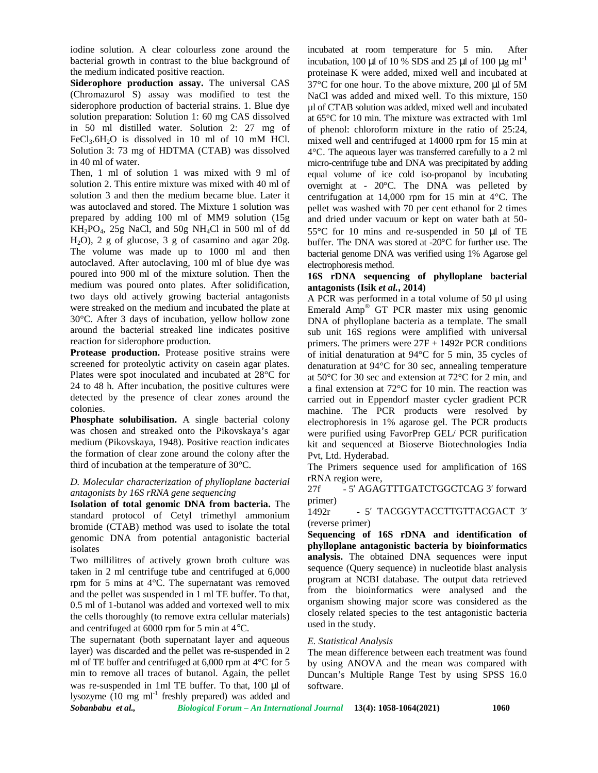iodine solution. A clear colourless zone around the bacterial growth in contrast to the blue background of the medium indicated positive reaction.

**Siderophore production assay.** The universal CAS (Chromazurol S) assay was modified to test the siderophore production of bacterial strains. 1. Blue dye solution preparation: Solution 1: 60 mg CAS dissolved in 50 ml distilled water. Solution 2: 27 mg of FeCl<sub>3</sub>.6H<sub>2</sub>O is dissolved in 10 ml of 10 mM HCl. Solution 3: 73 mg of HDTMA (CTAB) was dissolved in 40 ml of water.

Then, 1 ml of solution 1 was mixed with 9 ml of solution 2. This entire mixture was mixed with 40 ml of solution 3 and then the medium became blue. Later it was autoclaved and stored. The Mixture 1 solution was prepared by adding 100 ml of MM9 solution (15g  $KH_2PO_4$ , 25g NaCl, and 50g NH<sub>4</sub>Cl in 500 ml of dd H2O), 2 g of glucose, 3 g of casamino and agar 20g. The volume was made up to 1000 ml and then autoclaved. After autoclaving, 100 ml of blue dye was poured into 900 ml of the mixture solution. Then the medium was poured onto plates. After solidification, two days old actively growing bacterial antagonists were streaked on the medium and incubated the plate at 30°C. After 3 days of incubation, yellow hollow zone around the bacterial streaked line indicates positive reaction for siderophore production.

Protease production. Protease positive strains were screened for proteolytic activity on casein agar plates. Plates were spot inoculated and incubated at 28°C for 24 to 48 h. After incubation, the positive cultures were detected by the presence of clear zones around the colonies.

**Phosphate solubilisation.** A single bacterial colony was chosen and streaked onto the Pikovskaya's agar medium (Pikovskaya, 1948). Positive reaction indicates the formation of clear zone around the colony after the third of incubation at the temperature of 30°C.

## *D. Molecular characterization of phylloplane bacterial antagonists by 16S rRNA gene sequencing*

**Isolation of total genomic DNA from bacteria.** The primer standard protocol of Cetyl trimethyl ammonium bromide (CTAB) method was used to isolate the total genomic DNA from potential antagonistic bacterial isolates

Two millilitres of actively grown broth culture was taken in 2 ml centrifuge tube and centrifuged at 6,000 rpm for 5 mins at 4°C. The supernatant was removed and the pellet was suspended in 1 ml TE buffer. To that, 0.5 ml of 1-butanol was added and vortexed well to mix the cells thoroughly (to remove extra cellular materials) and centrifuged at 6000 rpm for 5 min at 4°C.

The supernatant (both supernatant layer and aqueous layer) was discarded and the pellet was re-suspended in 2 ml of TE buffer and centrifuged at 6,000 rpm at 4<sup>o</sup>C for 5 min to remove all traces of butanol. Again, the pellet was re-suspended in 1ml TE buffer. To that, 100 µl of lysozyme  $(10 \text{ mg ml}^{-1}$  freshly prepared) was added and

incubated at room temperature for 5 min. After incubation, 100  $\mu$ l of 10 % SDS and 25  $\mu$ l of 100  $\mu$ g ml<sup>-1</sup> proteinase K were added, mixed well and incubated at 37°C for one hour. To the above mixture, 200 µl of 5M NaCl was added and mixed well. To this mixture, 150 µl of CTAB solution was added, mixed well and incubated at 65°C for 10 min. The mixture was extracted with 1ml of phenol: chloroform mixture in the ratio of 25:24, mixed well and centrifuged at 14000 rpm for 15 min at 4°C. The aqueous layer was transferred carefully to a 2 ml micro-centrifuge tube and DNA was precipitated by adding equal volume of ice cold iso-propanol by incubating overnight at - 20°C. The DNA was pelleted by centrifugation at 14,000 rpm for 15 min at 4°C. The pellet was washed with 70 per cent ethanol for 2 times and dried under vacuum or kept on water bath at 50- 55°C for 10 mins and re-suspended in 50 µl of TE buffer. The DNA was stored at -20°C for further use. The bacterial genome DNA was verified using 1% Agarose gel electrophoresis method.

## **16S rDNA sequencing of phylloplane bacterial antagonists (Isik** *et al.***, 2014)**

A PCR was performed in a total volume of 50 μl using Emerald Amp® GT PCR master mix using genomic DNA of phylloplane bacteria as a template. The small sub unit 16S regions were amplified with universal primers. The primers were 27F + 1492r PCR conditions of initial denaturation at 94°C for 5 min, 35 cycles of denaturation at 94°C for 30 sec, annealing temperature at 50°C for 30 sec and extension at 72°C for 2 min, and a final extension at 72°C for 10 min. The reaction was carried out in Eppendorf master cycler gradient PCR machine. The PCR products were resolved by electrophoresis in 1% agarose gel. The PCR products were purified using FavorPrep GEL/ PCR purification kit and sequenced at Bioserve Biotechnologies India Pvt, Ltd. Hyderabad.

The Primers sequence used for amplification of 16S rRNA region were,

- 5 AGAGTTTGATCTGGCTCAG 3 forward primer)

- 5′ TACGGYTACCTTGTTACGACT 3 (reverse primer)

**Sequencing of 16S rDNA and identification of phylloplane antagonistic bacteria by bioinformatics analysis.** The obtained DNA sequences were input sequence (Query sequence) in nucleotide blast analysis program at NCBI database. The output data retrieved from the bioinformatics were analysed and the organism showing major score was considered as the closely related species to the test antagonistic bacteria used in the study.

# *E. Statistical Analysis*

The mean difference between each treatment was found by using ANOVA and the mean was compared with Duncan's Multiple Range Test by using SPSS 16.0 software.

*Sobanbabu et al., Biological Forum – An International Journal* **13(4): 1058-1064(2021) 1060**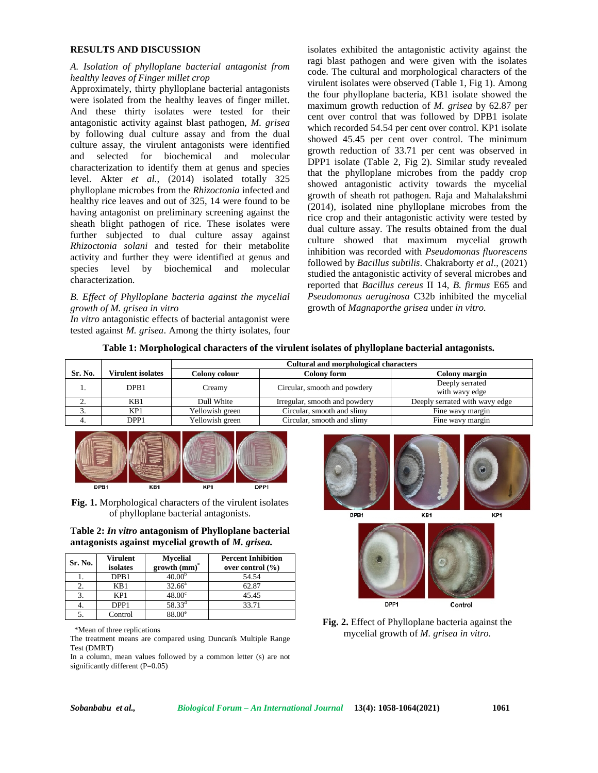### **RESULTS AND DISCUSSION**

### *A. Isolation of phylloplane bacterial antagonist from healthy leaves of Finger millet crop*

Approximately, thirty phylloplane bacterial antagonists were isolated from the healthy leaves of finger millet. And these thirty isolates were tested for their antagonistic activity against blast pathogen, *M. grisea* by following dual culture assay and from the dual culture assay, the virulent antagonists were identified and selected for biochemical and molecular characterization to identify them at genus and species level. Akter *et al.*, (2014) isolated totally 325 phylloplane microbes from the *Rhizoctonia* infected and healthy rice leaves and out of 325, 14 were found to be having antagonist on preliminary screening against the sheath blight pathogen of rice. These isolates were further subjected to dual culture assay against *Rhizoctonia solani* and tested for their metabolite activity and further they were identified at genus and species level by biochemical and molecular characterization.

# *B. Effect of Phylloplane bacteria against the mycelial growth of M. grisea in vitro*

*In vitro* antagonistic effects of bacterial antagonist were tested against *M. grisea*. Among the thirty isolates, four isolates exhibited the antagonistic activity against the ragi blast pathogen and were given with the isolates code. The cultural and morphological characters of the virulent isolates were observed (Table 1, Fig 1). Among the four phylloplane bacteria, KB1 isolate showed the maximum growth reduction of *M. grisea* by 62.87 per cent over control that was followed by DPB1 isolate which recorded 54.54 per cent over control. KP1 isolate showed 45.45 per cent over control. The minimum growth reduction of 33.71 per cent was observed in DPP1 isolate (Table 2, Fig 2). Similar study revealed that the phylloplane microbes from the paddy crop showed antagonistic activity towards the mycelial growth of sheath rot pathogen. Raja and Mahalakshmi (2014), isolated nine phylloplane microbes from the rice crop and their antagonistic activity were tested by dual culture assay. The results obtained from the dual culture showed that maximum mycelial growth inhibition was recorded with *Pseudomonas fluorescens* followed by *Bacillus subtilis*. Chakraborty *et al*., (2021) studied the antagonistic activity of several microbes and reported that *Bacillus cereus* II 14, *B. firmus* E65 and *Pseudomonas aeruginosa* C32b inhibited the mycelial growth of *Magnaporthe grisea* under *in vitro.*

|  |  | Table 1: Morphological characters of the virulent isolates of phylloplane bacterial antagonists. |
|--|--|--------------------------------------------------------------------------------------------------|
|  |  |                                                                                                  |

|          |                          | <b>Cultural and morphological characters</b> |                               |                                |  |
|----------|--------------------------|----------------------------------------------|-------------------------------|--------------------------------|--|
| Sr. No.  | <b>Virulent isolates</b> | Colony colour                                | <b>Colony form</b>            | Colony margin                  |  |
|          | DPB1                     | Creamy                                       | Circular, smooth and powdery  | Deeply serrated                |  |
|          |                          |                                              |                               | with wavy edge                 |  |
| <u>.</u> | KB1                      | Dull White                                   | Irregular, smooth and powdery | Deeply serrated with wavy edge |  |
|          | KP <sub>1</sub>          | Yellowish green                              | Circular, smooth and slimy    | Fine wavy margin               |  |
| 4.       | DPP <sub>1</sub>         | Yellowish green                              | Circular, smooth and slimy    | Fine wavy margin               |  |



**Fig. 1.** Morphological characters of the virulent isolates of phylloplane bacterial antagonists.

**Table 2:** *In vitro* **antagonism of Phylloplane bacterial antagonists against mycelial growth of** *M. grisea.*

| Sr. No. | <b>Virulent</b><br>isolates | <b>Mycelial</b><br>$growth (mm)*$ | <b>Percent Inhibition</b><br>over control $(\% )$ |
|---------|-----------------------------|-----------------------------------|---------------------------------------------------|
|         | DPB <sub>1</sub>            | 40.00                             | 54.54                                             |
|         | KB1                         | $32.66^{\circ}$                   | 62.87                                             |
|         | KP1                         | $48.00^\circ$                     | 45.45                                             |
| ÷.      | DPP <sub>1</sub>            | $58.33^{d}$                       | 33.71                                             |
|         | Control                     | 38 UU6                            |                                                   |

\*Mean of three replications

The treatment means are compared using Duncan s Multiple Range Test (DMRT)

In a column, mean values followed by a common letter (s) are not significantly different (P=0.05)





**Fig. 2.** Effect of Phylloplane bacteria against the mycelial growth of *M. grisea in vitro.*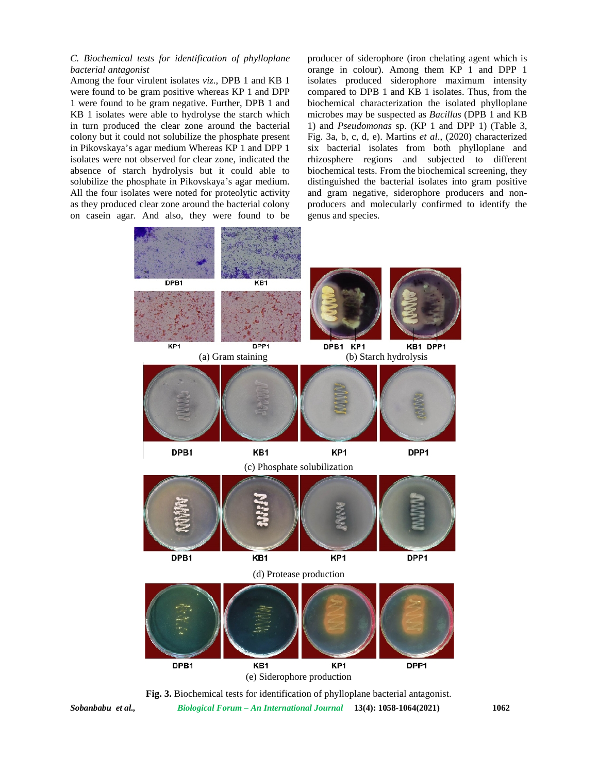#### *C. Biochemical tests for identification of phylloplane bacterial antagonist*

Among the four virulent isolates *viz*., DPB 1 and KB 1 were found to be gram positive whereas KP 1 and DPP 1 were found to be gram negative. Further, DPB 1 and KB 1 isolates were able to hydrolyse the starch which in turn produced the clear zone around the bacterial colony but it could not solubilize the phosphate present in Pikovskaya's agar medium Whereas KP 1 and DPP 1 isolates were not observed for clear zone, indicated the absence of starch hydrolysis but it could able to solubilize the phosphate in Pikovskaya's agar medium. All the four isolates were noted for proteolytic activity as they produced clear zone around the bacterial colony on casein agar. And also, they were found to be producer of siderophore (iron chelating agent which is orange in colour). Among them KP 1 and DPP 1 isolates produced siderophore maximum intensity compared to DPB 1 and KB 1 isolates. Thus, from the biochemical characterization the isolated phylloplane microbes may be suspected as *Bacillus* (DPB 1 and KB 1) and *Pseudomonas* sp. (KP 1 and DPP 1) (Table 3, Fig. 3a, b, c, d, e). Martins *et al*., (2020) characterized six bacterial isolates from both phylloplane and rhizosphere regions and subjected to different biochemical tests. From the biochemical screening, they distinguished the bacterial isolates into gram positive and gram negative, siderophore producers and non producers and molecularly confirmed to identify the genus and species.





*Sobanbabu et al., Biological Forum – An International Journal* **13(4): 1058-1064(2021) 1062**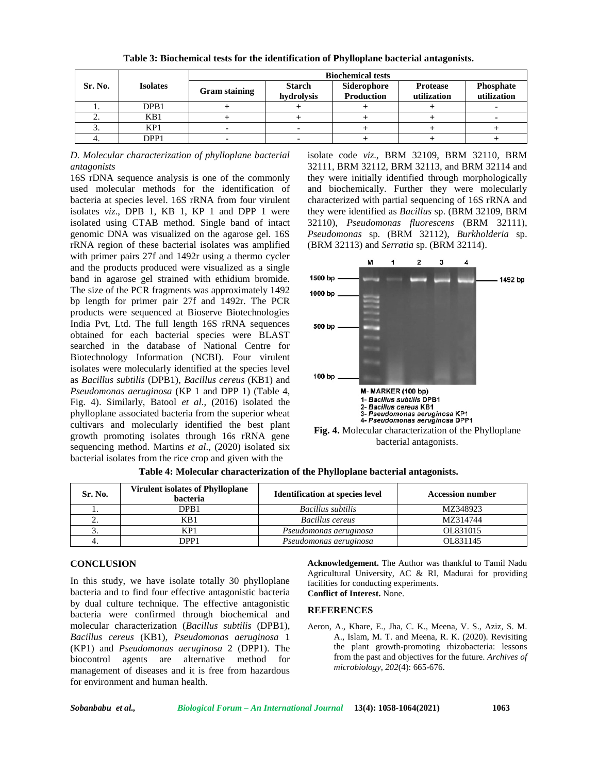|         | <b>Isolates</b>  | <b>Biochemical tests</b> |                             |                                  |                                |                                 |
|---------|------------------|--------------------------|-----------------------------|----------------------------------|--------------------------------|---------------------------------|
| Sr. No. |                  | <b>Gram staining</b>     | <b>Starch</b><br>hydrolysis | Siderophore<br><b>Production</b> | <b>Protease</b><br>utilization | <b>Phosphate</b><br>utilization |
|         | DPB1             |                          |                             |                                  |                                |                                 |
|         | KB1              |                          |                             |                                  |                                |                                 |
|         | KP1              |                          |                             |                                  |                                |                                 |
|         | DPP <sub>1</sub> |                          |                             |                                  |                                |                                 |

**Table 3: Biochemical tests for the identification of Phylloplane bacterial antagonists.**

*D. Molecular characterization of phylloplane bacterial antagonists*

16S rDNA sequence analysis is one of the commonly used molecular methods for the identification of bacteria at species level. 16S rRNA from four virulent isolates *viz*., DPB 1, KB 1, KP 1 and DPP 1 were isolated using CTAB method. Single band of intact genomic DNA was visualized on the agarose gel. 16S rRNA region of these bacterial isolates was amplified with primer pairs 27f and 1492r using a thermo cycler and the products produced were visualized as a single band in agarose gel strained with ethidium bromide. The size of the PCR fragments was approximately 1492 1000 bp bp length for primer pair 27f and 1492r. The PCR products were sequenced at Bioserve Biotechnologies India Pvt, Ltd. The full length 16S rRNA sequences obtained for each bacterial species were BLAST searched in the database of National Centre for Biotechnology Information (NCBI). Four virulent isolates were molecularly identified at the species level as *Bacillus subtilis* (DPB1), *Bacillus cereus* (KB1) and *Pseudomonas aeruginosa* (KP 1 and DPP 1) (Table 4, Fig. 4). Similarly, Batool *et al*., (2016) isolated the phylloplane associated bacteria from the superior wheat cultivars and molecularly identified the best plant growth promoting isolates through 16s rRNA gene sequencing method. Martins *et al*., (2020) isolated six bacterial isolates from the rice crop and given with the

isolate code *viz*., BRM 32109, BRM 32110, BRM 32111, BRM 32112, BRM 32113, and BRM 32114 and they were initially identified through morphologically and biochemically. Further they were molecularly characterized with partial sequencing of 16S rRNA and they were identified as *Bacillus* sp. (BRM 32109, BRM 32110), *Pseudomonas fluorescens* (BRM 32111), *Pseudomonas* sp. (BRM 32112), *Burkholderia* sp. (BRM 32113) and *Serratia* sp. (BRM 32114).





| Sr. No.  | <b>Virulent isolates of Phylloplane</b><br>bacteria | <b>Identification at species level</b> | <b>Accession number</b> |
|----------|-----------------------------------------------------|----------------------------------------|-------------------------|
|          | DPB1                                                | Bacillus subtilis                      | MZ348923                |
| <u>.</u> | KB1                                                 | Bacillus cereus                        | MZ314744                |
|          | KP1                                                 | Pseudomonas aeruginosa                 | OL831015                |
|          | DPP1                                                | Pseudomonas aeruginosa                 | OL831145                |

**Table 4: Molecular characterization of the Phylloplane bacterial antagonists.**

#### **CONCLUSION**

In this study, we have isolate totally 30 phylloplane bacteria and to find four effective antagonistic bacteria by dual culture technique. The effective antagonistic bacteria were confirmed through biochemical and molecular characterization (*Bacillus subtilis* (DPB1), *Bacillus cereus* (KB1), *Pseudomonas aeruginosa* 1 (KP1) and *Pseudomonas aeruginosa* 2 (DPP1). The biocontrol agents are alternative method for management of diseases and it is free from hazardous for environment and human health.

**Acknowledgement.** The Author was thankful to Tamil Nadu Agricultural University, AC & RI, Madurai for providing facilities for conducting experiments. **Conflict of Interest.** None.

#### **REFERENCES**

Aeron, A., Khare, E., Jha, C. K., Meena, V. S., Aziz, S. M. A., Islam, M. T. and Meena, R. K. (2020). Revisiting the plant growth-promoting rhizobacteria: lessons from the past and objectives for the future. *Archives of microbiology*, *202*(4): 665-676.

*Sobanbabu et al., Biological Forum – An International Journal* **13(4): 1058-1064(2021) 1063**